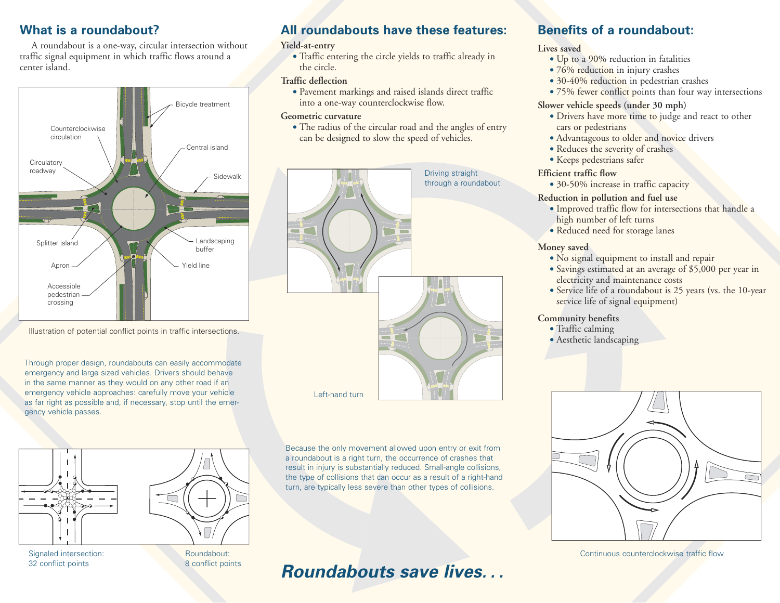### **What is a roundabout?**

A roundabout is a one-way, circular intersection without traffic signal equipment in which traffic flows around a center island.



Illustration of potential conflict points in traffic intersections.

Through proper design, roundabouts can easily accommodate emergency and large sized vehicles. Drivers should behave in the same manner as they would on any other road if an emergency vehicle approaches: carefully move your vehicle as far right as possible and, if necessary, stop until the emergency vehicle passes.





Signaled intersection: Roundabout: 32 conflict points 8 conflict points

## **All roundabouts have these features:**

#### **Yield-at-entry**

• Traffic entering the circle yields to traffic already in the circle.

#### **Traffic deflection**

• Pavement markings and raised islands direct traffic into a one-way counterclockwise flow.

#### **Geometric curvature**

• The radius of the circular road and the angles of entry can be designed to slow the speed of vehicles.



Because the only movement allowed upon entry or exit from a roundabout is a right turn, the occurrence of crashes that result in injury is substantially reduced. Small-angle collisions, the type of collisions that can occur as a result of a right-hand turn, are typically less severe than other types of collisions.

**Roundabouts save lives. . .**

## • 76% reduction in injury crashes

**Lives saved**

- 30-40% reduction in pedestrian crashes
- 75% fewer conflict points than four way intersections

#### **Slower vehicle speeds (under 30 mph)**

**Benefits of a roundabout:**

• Up to a 90% reduction in fatalities

- Drivers have more time to judge and react to other cars or pedestrians
- Advantageous to older and novice drivers
- Reduces the severity of crashes
- Keeps pedestrians safer

#### **Efficient traffic flow**

• 30-50% increase in traffic capacity

#### **Reduction in pollution and fuel use**

- Improved traffic flow for intersections that handle a high number of left turns
- Reduced need for storage lanes

#### **Money saved**

- No signal equipment to install and repair
- Savings estimated at an average of \$5,000 per year in electricity and maintenance costs
- Service life of a roundabout is 25 years (vs. the 10-year service life of signal equipment)

#### **Community benefits**

- Traffic calming
- Aesthetic landscaping



Continuous counterclockwise traffic flow